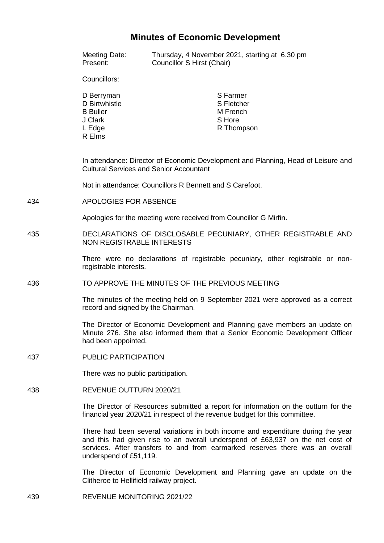## **Minutes of Economic Development**

|     | Meeting Date:<br>Present:                                                                                                                                                                                                                                                     | Thursday, 4 November 2021, starting at 6.30 pm<br>Councillor S Hirst (Chair) |
|-----|-------------------------------------------------------------------------------------------------------------------------------------------------------------------------------------------------------------------------------------------------------------------------------|------------------------------------------------------------------------------|
|     | Councillors:                                                                                                                                                                                                                                                                  |                                                                              |
|     | D Berryman<br>D Birtwhistle<br><b>B</b> Buller<br>J Clark<br>L Edge<br>R Elms                                                                                                                                                                                                 | S Farmer<br>S Fletcher<br>M French<br>S Hore<br>R Thompson                   |
|     | In attendance: Director of Economic Development and Planning, Head of Leisure and<br><b>Cultural Services and Senior Accountant</b><br>Not in attendance: Councillors R Bennett and S Carefoot.                                                                               |                                                                              |
|     |                                                                                                                                                                                                                                                                               |                                                                              |
| 434 | APOLOGIES FOR ABSENCE                                                                                                                                                                                                                                                         |                                                                              |
|     | Apologies for the meeting were received from Councillor G Mirfin.                                                                                                                                                                                                             |                                                                              |
| 435 | DECLARATIONS OF DISCLOSABLE PECUNIARY, OTHER REGISTRABLE AND<br><b>NON REGISTRABLE INTERESTS</b>                                                                                                                                                                              |                                                                              |
|     | There were no declarations of registrable pecuniary, other registrable or non-<br>registrable interests.                                                                                                                                                                      |                                                                              |
| 436 | TO APPROVE THE MINUTES OF THE PREVIOUS MEETING                                                                                                                                                                                                                                |                                                                              |
|     | The minutes of the meeting held on 9 September 2021 were approved as a correct<br>record and signed by the Chairman.                                                                                                                                                          |                                                                              |
|     | The Director of Economic Development and Planning gave members an update on<br>Minute 276. She also informed them that a Senior Economic Development Officer<br>had been appointed.                                                                                           |                                                                              |
| 437 | <b>PUBLIC PARTICIPATION</b>                                                                                                                                                                                                                                                   |                                                                              |
|     | There was no public participation.                                                                                                                                                                                                                                            |                                                                              |
| 438 | REVENUE OUTTURN 2020/21                                                                                                                                                                                                                                                       |                                                                              |
|     | The Director of Resources submitted a report for information on the outturn for the<br>financial year 2020/21 in respect of the revenue budget for this committee.                                                                                                            |                                                                              |
|     | There had been several variations in both income and expenditure during the year<br>and this had given rise to an overall underspend of £63,937 on the net cost of<br>services. After transfers to and from earmarked reserves there was an overall<br>underspend of £51,119. |                                                                              |
|     | Clitheroe to Hellifield railway project.                                                                                                                                                                                                                                      | The Director of Economic Development and Planning gave an update on the      |

439 REVENUE MONITORING 2021/22